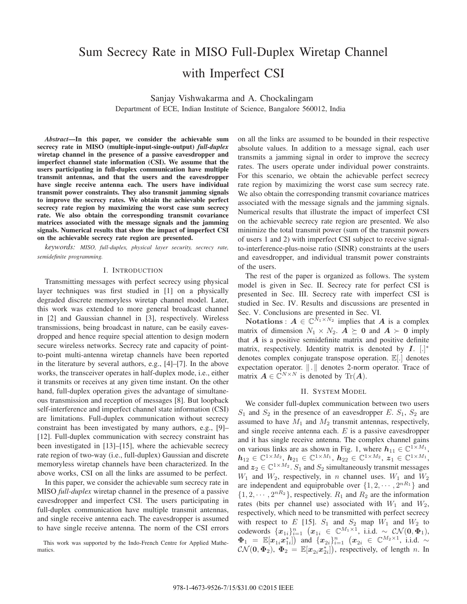# Sum Secrecy Rate in MISO Full-Duplex Wiretap Channel with Imperfect CSI

Sanjay Vishwakarma and A. Chockalingam

Department of ECE, Indian Institute of Science, Bangalore 560012, India

*Abstract***—In this paper, we consider the achievable sum secrecy rate in MISO (multiple-input-single-output)** *full-duplex* **wiretap channel in the presence of a passive eavesdropper and imperfect channel state information (CSI). We assume that the users participating in full-duplex communication have multiple transmit antennas, and that the users and the eavesdropper have single receive antenna each. The users have individual transmit power constraints. They also transmit jamming signals to improve the secrecy rates. We obtain the achievable perfect secrecy rate region by maximizing the worst case sum secrecy rate. We also obtain the corresponding transmit covariance matrices associated with the message signals and the jamming signals. Numerical results that show the impact of imperfect CSI on the achievable secrecy rate region are presented.**

*keywords: MISO, full-duplex, physical layer security, secrecy rate, semidefinite programming.*

### I. INTRODUCTION

Transmitting messages with perfect secrecy using physical layer techniques was first studied in [1] on a physically degraded discrete memoryless wiretap channel model. Later, this work was extended to more general broadcast channel in [2] and Gaussian channel in [3], respectively. Wireless transmissions, being broadcast in nature, can be easily eavesdropped and hence require special attention to design modern secure wireless networks. Secrecy rate and capacity of pointto-point multi-antenna wiretap channels have been reported in the literature by several authors, e.g., [4]–[7]. In the above works, the transceiver operates in half-duplex mode, i.e., either it transmits or receives at any given time instant. On the other hand, full-duplex operation gives the advantage of simultaneous transmission and reception of messages [8]. But loopback self-interference and imperfect channel state information (CSI) are limitations. Full-duplex communication without secrecy constraint has been investigated by many authors, e.g., [9]– [12]. Full-duplex communication with secrecy constraint has been investigated in [13]–[15], where the achievable secrecy rate region of two-way (i.e., full-duplex) Gaussian and discrete memoryless wiretap channels have been characterized. In the above works, CSI on all the links are assumed to be perfect.

In this paper, we consider the achievable sum secrecy rate in MISO *full-duplex* wiretap channel in the presence of a passive eavesdropper and imperfect CSI. The users participating in full-duplex communication have multiple transmit antennas, and single receive antenna each. The eavesdropper is assumed to have single receive antenna. The norm of the CSI errors

This work was supported by the Indo-French Centre for Applied Mathematics.

on all the links are assumed to be bounded in their respective absolute values. In addition to a message signal, each user transmits a jamming signal in order to improve the secrecy rates. The users operate under individual power constraints. For this scenario, we obtain the achievable perfect secrecy rate region by maximizing the worst case sum secrecy rate. We also obtain the corresponding transmit covariance matrices associated with the message signals and the jamming signals. Numerical results that illustrate the impact of imperfect CSI on the achievable secrecy rate region are presented. We also minimize the total transmit power (sum of the transmit powers of users 1 and 2) with imperfect CSI subject to receive signalto-interference-plus-noise ratio (SINR) constraints at the users and eavesdropper, and individual transmit power constraints of the users.

The rest of the paper is organized as follows. The system model is given in Sec. II. Secrecy rate for perfect CSI is presented in Sec. III. Secrecy rate with imperfect CSI is studied in Sec. IV. Results and discussions are presented in Sec. V. Conclusions are presented in Sec. VI.

**Notations** :  $A \in \mathbb{C}^{\bar{N}_1 \times \bar{N}_2}$  implies that *A* is a complex matrix of dimension  $N_1 \times N_2$ .  $A \succeq 0$  and  $A \succ 0$  imply that *A* is a positive semidefinite matrix and positive definite matrix, respectively. Identity matrix is denoted by *I*. [.] ∗ denotes complex conjugate transpose operation. E[.] denotes expectation operator.  $\| . \|$  denotes 2-norm operator. Trace of matrix  $A \in \mathbb{C}^{N \times N}$  is denoted by Tr(A).

### II. SYSTEM MODEL

We consider full-duplex communication between two users  $S_1$  and  $S_2$  in the presence of an eavesdropper E.  $S_1$ ,  $S_2$  are assumed to have  $M_1$  and  $M_2$  transmit antennas, respectively, and single receive antenna each.  $E$  is a passive eavesdropper and it has single receive antenna. The complex channel gains on various links are as shown in Fig. 1, where  $h_{11} \in \mathbb{C}^{1 \times M_1}$ ,  $h_{12} \in \mathbb{C}^{1 \times M_2}$ ,  $h_{21} \in \mathbb{C}^{1 \times M_1}$ ,  $h_{22} \in \mathbb{C}^{1 \times M_2}$ ,  $z_1 \in \mathbb{C}^{1 \times M_1}$ , and  $z_2 \in \mathbb{C}^{1 \times M_2}$ .  $S_1$  and  $S_2$  simultaneously transmit messages  $W_1$  and  $W_2$ , respectively, in n channel uses.  $W_1$  and  $W_2$ are independent and equiprobable over  $\{1, 2, \cdots, 2^{nR_1}\}\$  and  $\{1, 2, \cdots, 2^{nR_2}\}\$ , respectively.  $R_1$  and  $R_2$  are the information rates (bits per channel use) associated with  $W_1$  and  $W_2$ , respectively, which need to be transmitted with perfect secrecy with respect to E [15].  $S_1$  and  $S_2$  map  $W_1$  and  $W_2$  to codewords  $\{x_{1i}\}_{i=1}^n$   $(x_{1i} \in \mathbb{C}^{M_1 \times 1}, \text{ i.i.d. } \sim \mathcal{CN}(0, \Phi_1),$  $\Phi_1$  =  $\mathbb{E}[x_{1i}x_{1i}^*]\big)$  and  $\{x_{2i}\}_{i=1}^n$   $(x_{2i} \in \mathbb{C}^{M_2 \times 1}, \text{ i.i.d. } \sim$  $CN(\mathbf{0}, \Phi_2)$ ,  $\Phi_2 = \mathbb{E}[x_{2i}x_{2i}^*]$ , respectively, of length *n*. In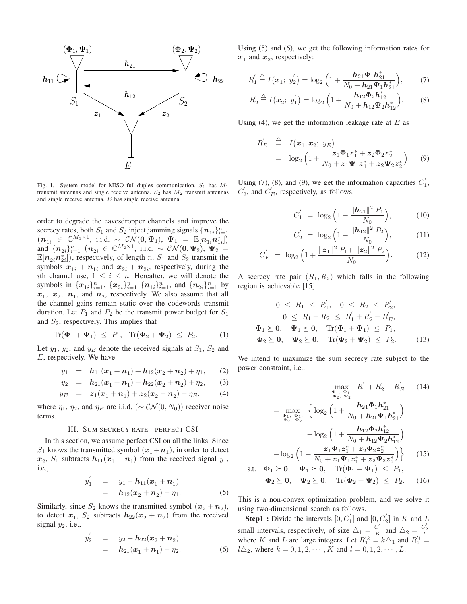

Fig. 1. System model for MISO full-duplex communication.  $S_1$  has  $M_1$ transmit antennas and single receive antenna.  $S_2$  has  $M_2$  transmit antennas and single receive antenna. E has single receive antenna.

order to degrade the eavesdropper channels and improve the secrecy rates, both  $S_1$  and  $S_2$  inject jamming signals  $\{n_{1i}\}_{i=1}^n$  $\left(n_{1i} \in \mathbb{C}^{M_1 \times 1}, \text{ i.i.d. } \sim \mathcal{CN}(0, \Psi_1), \Psi_1 = \mathbb{E}[n_{1i}n_{1i}^*]\right)$  $\lim_{n \to \infty} \{n_{2i}\}_{i=1}^n$   $(n_{2i} \in \mathbb{C}^{M_2 \times 1}, \text{ i.i.d. } \sim \mathcal{CN}(0, \Psi_2), \Psi_2 = 0\}$  $\mathbb{E}[n_{2i}n_{2i}^*]$ ), respectively, of length n.  $S_1$  and  $S_2$  transmit the symbols  $x_{1i} + n_{1i}$  and  $x_{2i} + n_{2i}$ , respectively, during the ith channel use,  $1 \leq i \leq n$ . Hereafter, we will denote the symbols in  $\{x_{1i}\}_{i=1}^n$ ,  $\{x_{2i}\}_{i=1}^n$   $\{n_{1i}\}_{i=1}^n$ , and  $\{n_{2i}\}_{i=1}^n$  by  $x_1$ ,  $x_2$ ,  $n_1$ , and  $n_2$ , respectively. We also assume that all the channel gains remain static over the codewords transmit duration. Let  $P_1$  and  $P_2$  be the transmit power budget for  $S_1$ and  $S_2$ , respectively. This implies that

$$
\text{Tr}(\Phi_1 + \Psi_1) \leq P_1, \quad \text{Tr}(\Phi_2 + \Psi_2) \leq P_2. \tag{1}
$$

Let  $y_1$ ,  $y_2$ , and  $y_E$  denote the received signals at  $S_1$ ,  $S_2$  and E, respectively. We have

$$
y_1 = \mathbf{h}_{11}(\mathbf{x}_1 + \mathbf{n}_1) + \mathbf{h}_{12}(\mathbf{x}_2 + \mathbf{n}_2) + \eta_1, \qquad (2)
$$

$$
y_2 = \mathbf{h}_{21}(\mathbf{x}_1 + \mathbf{n}_1) + \mathbf{h}_{22}(\mathbf{x}_2 + \mathbf{n}_2) + \eta_2, \qquad (3)
$$

$$
y_E = z_1(x_1 + n_1) + z_2(x_2 + n_2) + \eta_E, \qquad (4)
$$

where  $\eta_1$ ,  $\eta_2$ , and  $\eta_E$  are i.i.d. ( $\sim$  CN(0, N<sub>0</sub>)) receiver noise terms.

## III. SUM SECRECY RATE - PERFECT CSI

In this section, we assume perfect CSI on all the links. Since  $S_1$  knows the transmitted symbol  $(x_1+n_1)$ , in order to detect  $x_2$ ,  $S_1$  subtracts  $h_{11}(x_1 + n_1)$  from the received signal  $y_1$ , i.e.,

$$
y_1' = y_1 - h_{11}(x_1 + n_1)
$$
  
=  $h_{12}(x_2 + n_2) + \eta_1.$  (5)

Similarly, since  $S_2$  knows the transmitted symbol  $(x_2 + n_2)$ , to detect  $x_1$ ,  $S_2$  subtracts  $h_{22}(x_2 + n_2)$  from the received signal  $y_2$ , i.e.,

$$
y_2' = y_2 - h_{22}(x_2 + n_2)
$$
  
=  $h_{21}(x_1 + n_1) + \eta_2.$  (6)

Using (5) and (6), we get the following information rates for  $x_1$  and  $x_2$ , respectively:

$$
R_1' \stackrel{\triangle}{=} I(\boldsymbol{x}_1; \ y_2') = \log_2 \left( 1 + \frac{\boldsymbol{h}_{21} \boldsymbol{\Phi}_1 \boldsymbol{h}_{21}^*}{N_0 + \boldsymbol{h}_{21} \boldsymbol{\Psi}_1 \boldsymbol{h}_{21}^*} \right), \qquad (7)
$$

$$
R_2^{'} \stackrel{\triangle}{=} I(\boldsymbol{x}_2; y_1^{'}) = \log_2 \left( 1 + \frac{\boldsymbol{h}_{12} \boldsymbol{\Phi}_2 \boldsymbol{h}_{12}^{*}}{N_0 + \boldsymbol{h}_{12} \boldsymbol{\Psi}_2 \boldsymbol{h}_{12}^{*}} \right). \tag{8}
$$

Using (4), we get the information leakage rate at  $E$  as

$$
R_E' \stackrel{\triangle}{=} I(\mathbf{x}_1, \mathbf{x}_2; y_E)
$$
  
=  $\log_2 \left( 1 + \frac{z_1 \Phi_1 z_1^* + z_2 \Phi_2 z_2^*}{N_0 + z_1 \Psi_1 z_1^* + z_2 \Psi_2 z_2^*} \right)$ . (9)

Using (7), (8), and (9), we get the information capacities  $C_1'$ ,  $C_2'$ , and  $C_E'$ , respectively, as follows:

$$
C_1' = \log_2 \left( 1 + \frac{\|\mathbf{h}_{21}\|^2 P_1}{N_0} \right), \tag{10}
$$

$$
C_2' = \log_2 \left( 1 + \frac{\|\mathbf{h}_{12}\|^2 P_2}{N_0} \right), \tag{11}
$$

$$
C_E' = \log_2 \left( 1 + \frac{\|z_1\|^2 P_1 + \|z_2\|^2 P_2}{N_0} \right). \tag{12}
$$

A secrecy rate pair  $(R_1, R_2)$  which falls in the following region is achievable [15]:

$$
0 \le R_1 \le R'_1, \quad 0 \le R_2 \le R'_2, \n0 \le R_1 + R_2 \le R'_1 + R'_2 - R'_E, \n\Phi_1 \ge 0, \quad \Psi_1 \ge 0, \quad \text{Tr}(\Phi_1 + \Psi_1) \le P_1, \n\Phi_2 \ge 0, \quad \Psi_2 \ge 0, \quad \text{Tr}(\Phi_2 + \Psi_2) \le P_2.
$$
\n(13)

We intend to maximize the sum secrecy rate subject to the power constraint, i.e.,

$$
\max_{\substack{\Phi_1, \ \Phi_2, \ \Phi_2}} R'_1 + R'_2 - R'_E \qquad (14)
$$
\n
$$
= \max_{\substack{\Phi_1, \ \Phi_1, \ \Phi_2}} \left\{ \log_2 \left( 1 + \frac{h_{21} \Phi_1 h_{21}^*}{N_0 + h_{21} \Psi_1 h_{21}^*} \right) + \log_2 \left( 1 + \frac{h_{12} \Phi_2 h_{12}^*}{N_0 + h_{12} \Psi_2 h_{12}^*} \right) - \log_2 \left( 1 + \frac{z_1 \Phi_1 z_1^* + z_2 \Phi_2 z_2^*}{N_0 + z_1 \Psi_1 z_1^* + z_2 \Psi_2 z_2^*} \right) \right\} \qquad (15)
$$
\ns.t.  $\Phi_1 \succeq 0$ ,  $\Psi_1 \succeq 0$ ,  $\text{Tr}(\Phi_1 + \Psi_1) \leq P_1$ ,

$$
\Phi_2 \succeq 0, \quad \Psi_2 \succeq 0, \quad \text{Tr}(\Phi_2 + \Psi_2) \leq P_2. \tag{16}
$$

This is a non-convex optimization problem, and we solve it using two-dimensional search as follows.

**Step1**: Divide the intervals  $[0, C'_1]$  and  $[0, C'_2]$  in K and L small intervals, respectively, of size  $\Delta_1 = \frac{C_1'}{K}$  and  $\Delta_2 = \frac{C_2'}{L}$ where K and L are large integers. Let  $R_1^{'k} = k \triangle_1$  and  $R_2^{'l} =$  $l\Delta_2$ , where  $k = 0, 1, 2, \dots, K$  and  $l = 0, 1, 2, \dots, L$ .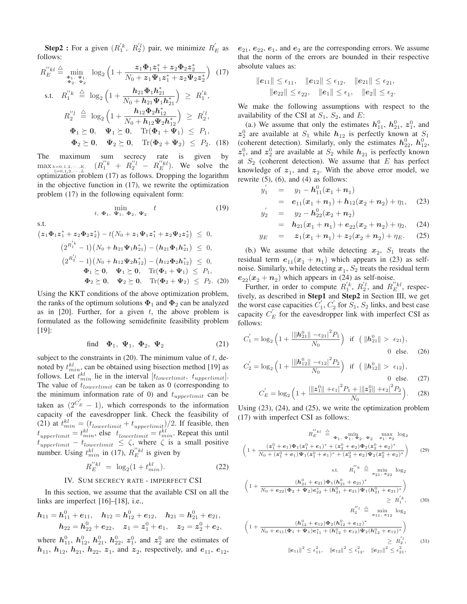**Step2**: For a given  $(R_1^{'k}, R_2^{'l})$  pair, we minimize  $R_E'$  as follows:

$$
R_E^{"kl} \stackrel{\triangle}{=} \min_{\substack{\Phi_1, \ \Psi_1, \\ \Phi_2, \ \Psi_2}} \log_2 \left( 1 + \frac{z_1 \Phi_1 z_1^* + z_2 \Phi_2 z_2^*}{N_0 + z_1 \Psi_1 z_1^* + z_2 \Psi_2 z_2^*} \right) (17)
$$
\ns.t.  $R_1^{"k} \stackrel{\triangle}{=} \log_2 \left( 1 + \frac{h_{21} \Phi_1 h_{21}^*}{N_0 + h_{21} \Psi_1 h_{21}^*} \right) \ge R_1^{'k},$   
\n $R_2^{"l} \stackrel{\triangle}{=} \log_2 \left( 1 + \frac{h_{12} \Phi_2 h_{12}^*}{N_0 + h_{12} \Psi_2 h_{12}^*} \right) \ge R_2^{'l},$   
\n $\Phi_1 \ge 0, \ \Psi_1 \ge 0, \ \text{Tr}(\Phi_1 + \Psi_1) \le P_1,$   
\n $\Phi_2 \ge 0, \ \Psi_2 \ge 0, \ \text{Tr}(\Phi_2 + \Psi_2) \le P_2. (18)$ 

The maximum sum secrecy rate is given by  $\max_{k=0,1,2,\cdots,K, \atop k=0,1,2,\cdots,K} (R_1''^k + R_2''^l - R_E''^{k}).$  We solve the optimization problem (17) as follows. Dropping the logarithm in the objective function in (17), we rewrite the optimization problem (17) in the following equivalent form:

$$
\min_{t, \ \Phi_1, \ \Psi_1, \ \Phi_2, \ \Psi_2} \quad t \tag{19}
$$

s.t.

$$
(z_1\Phi_1 z_1^* + z_2\Phi_2 z_2^*) - t(N_0 + z_1\Psi_1 z_1^* + z_2\Psi_2 z_2^*) \leq 0,
$$
  
\n
$$
(2^{R_1^{'}k} - 1)(N_0 + h_{21}\Psi_1 h_{21}^*) - (h_{21}\Phi_1 h_{21}^*) \leq 0,
$$
  
\n
$$
(2^{R_2^{'}l} - 1)(N_0 + h_{12}\Psi_2 h_{12}^*) - (h_{12}\Phi_2 h_{12}^*) \leq 0,
$$
  
\n
$$
\Phi_1 \succeq 0, \quad \Psi_1 \succeq 0, \quad \text{Tr}(\Phi_1 + \Psi_1) \leq P_1,
$$
  
\n
$$
\Phi_2 \succeq 0, \quad \Psi_2 \succeq 0, \quad \text{Tr}(\Phi_2 + \Psi_2) \leq P_2.
$$
 (20)

Using the KKT conditions of the above optimization problem, the ranks of the optimum solutions  $\Phi_1$  and  $\Phi_2$  can be analyzed as in  $[20]$ . Further, for a given t, the above problem is formulated as the following semidefinite feasibility problem [19]:

find 
$$
\Phi_1
$$
,  $\Psi_1$ ,  $\Phi_2$ ,  $\Psi_2$  (21)

subject to the constraints in  $(20)$ . The minimum value of t, denoted by  $t_{min}^{kl}$ , can be obtained using bisection method [19] as follows. Let  $t_{min}^{kl}$  lie in the interval  $[t_{lowerlimit}, t_{upperlimit}]$ . The value of  $t_{lowerlimit}$  can be taken as 0 (corresponding to the minimum information rate of 0) and  $t_{upperlimit}$  can be taken as  $(2^{C_E'} - 1)$ , which corresponds to the information capacity of the eavesdropper link. Check the feasibility of (21) at  $t_{min}^{kl} = (t_{lowerlimit} + t_{upperlimit})/2$ . If feasible, then  $t_{upperlimit} = t_{min}^{kl}$ , else  $t_{lowerlimit} = t_{min}^{kl}$ . Repeat this until  $t_{upperlimit} - t_{lowerlimit} \leq \zeta$ , where  $\zeta$  is a small positive number. Using  $t_{min}^{kl}$  in (17),  $R_{E}^{l'kl}$  is given by

$$
R_E^{"kl} = \log_2(1 + t_{min}^{kl}). \tag{22}
$$

# IV. SUM SECRECY RATE - IMPERFECT CSI

In this section, we assume that the available CSI on all the links are imperfect [16]–[18], i.e.,

$$
h_{11}=h_{11}^0+e_{11},\quad h_{12}=h_{12}^0+e_{12},\quad h_{21}=h_{21}^0+e_{21},\\ h_{22}=h_{22}^0+e_{22},\quad z_1=z_1^0+e_1,\quad z_2=z_2^0+e_2,
$$

where  $h_{11}^0$ ,  $h_{12}^0$ ,  $h_{21}^0$ ,  $h_{22}^0$ ,  $z_1^0$ , and  $z_2^0$  are the estimates of  $h_{11}$ ,  $h_{12}$ ,  $h_{21}$ ,  $h_{22}$ ,  $z_1$ , and  $z_2$ , respectively, and  $e_{11}$ ,  $e_{12}$ ,  $e_{21}$ ,  $e_{22}$ ,  $e_1$ , and  $e_2$  are the corresponding errors. We assume that the norm of the errors are bounded in their respective absolute values as:

$$
\begin{aligned}\n\|\boldsymbol{e}_{11}\| &\leq \epsilon_{11}, \quad \|\boldsymbol{e}_{12}\| \leq \epsilon_{12}, \quad \|\boldsymbol{e}_{21}\| \leq \epsilon_{21}, \\
\|\boldsymbol{e}_{22}\| &\leq \epsilon_{22}, \quad \|\boldsymbol{e}_{1}\| \leq \epsilon_{1}, \quad \|\boldsymbol{e}_{2}\| \leq \epsilon_{2}.\n\end{aligned}
$$

We make the following assumptions with respect to the availability of the CSI at  $S_1$ ,  $S_2$ , and E:

(a.) We assume that only the estimates  $h_{11}^0$ ,  $h_{21}^0$ ,  $z_1^0$ , and  $z_2^0$  are available at  $S_1$  while  $h_{12}$  is perfectly known at  $S_1$ (coherent detection). Similarly, only the estimates  $h_{22}^0$ ,  $h_{12}^0$ ,  $z_1^0$ , and  $z_2^0$  are available at  $S_2$  while  $h_{21}$  is perfectly known at  $S_2$  (coherent detection). We assume that  $E$  has perfect knowledge of  $z_1$ , and  $z_2$ . With the above error model, we rewrite  $(5)$ ,  $(6)$ , and  $(4)$  as follows:

$$
y'_1 = y_1 - h_{11}^0(x_1 + n_1)
$$
  
=  $e_{11}(x_1 + n_1) + h_{12}(x_2 + n_2) + \eta_1$ , (23)  

$$
y'_2 = y_2 - h_{22}^0(x_2 + n_2)
$$

$$
\begin{array}{rcl}\n\mu_2' & = & y_2 - h_{22}^0(x_2 + n_2) \\
& = & h_{21}(x_1 + n_1) + e_{22}(x_2 + n_2) + \eta_2,\n\end{array} \tag{24}
$$

$$
y_E = z_1(x_1 + n_1) + z_2(x_2 + n_2) + \eta_E.
$$
 (25)

(b.) We assume that while detecting  $x_2$ ,  $S_1$  treats the residual term  $e_{11}(x_1 + n_1)$  which appears in (23) as selfnoise. Similarly, while detecting  $x_1$ ,  $S_2$  treats the residual term  $e_{22}(x_2 + n_2)$  which appears in (24) as self-noise.

Further, in order to compute  $R_1^{'k}$ ,  $R_2^{'l}$ , and  $R_E^{''kl}$ , respectively, as described in **Step1** and **Step2** in Section III, we get the worst case capacities  $C_1$ ,  $C_2$  for  $S_1$ ,  $S_2$  links, and best case capacity  $C_E$  for the eavesdropper link with imperfect CSI as follows:

$$
C_1' = \log_2 \left( 1 + \frac{\|h_{21}^0\| - \epsilon_{21}|^2 P_1}{N_0} \right) \text{ if } \left( \|h_{21}^0\| > \epsilon_{21} \right),
$$
  
0 else. (26)

$$
C_2' = \log_2 \left( 1 + \frac{\left| \|h_{12}^0\| - \epsilon_{12} \right|^2 P_2}{N_0} \right) \text{ if } \left( \|h_{12}^0\| > \epsilon_{12} \right),
$$
  
0 else. (27)

$$
C_{E}^{'} = \log_2 \left( 1 + \frac{\left| \| \mathbf{z}_1^0 \| + \epsilon_1 \right|^2 P_1 + \left| \| \mathbf{z}_2^0 \| + \epsilon_2 \right|^2 P_2}{N_0} \right). \tag{28}
$$

Using (23), (24), and (25), we write the optimization problem (17) with imperfect CSI as follows:

$$
R_E^{\prime'kl} \triangleq \min_{\Phi_1, \ \Psi_1, \ \Phi_2, \ \Psi_2} \ \max_{e_1, \ e_2} \log_2
$$
  

$$
\left(1 + \frac{(z_1^0 + e_1)\Phi_1(z_1^0 + e_1)^* + (z_2^0 + e_2)\Phi_2(z_2^0 + e_2)^*}{N_0 + (z_1^0 + e_1)\Psi_1(z_1^0 + e_1)^* + (z_2^0 + e_2)\Psi_2(z_2^0 + e_2)^*}\right)
$$
(29)

s.t. 
$$
R_1^{''k} \triangleq \min_{e_{21}, e_{22}} \log_2
$$
  
\n
$$
\left(1 + \frac{(h_{21}^0 + e_{21})\Phi_1(h_{21}^0 + e_{21})^*}{N_0 + e_{22}(\Phi_2 + \Psi_2)e_{22}^* + (h_{21}^0 + e_{21})\Psi_1(h_{21}^0 + e_{21})^*}\right) \ge R_1^{k'};
$$
\n(30)  
\n
$$
R_2^{''l} \triangleq \min_{e_{11}, e_{12}} \log_2
$$
\n
$$
\left(1 + \frac{(h_{12}^0 + e_{12})\Phi_2(h_{12}^0 + e_{12})^*}{N_0 + e_{11}(\Phi_1 + \Psi_1)e_{12}^* + (h_{22}^0 + e_{12})\Psi_2(h_{22}^0 + e_{12})^*}\right)
$$

$$
N_0 + e_{11}(\Phi_1 + \Psi_1)e_{11}^* + (h_{12}^0 + e_{12})\Psi_2(h_{12}^0 + e_{12})^*/
$$
  
\n
$$
\ge R_2^{'l}, \qquad (31)
$$
  
\n
$$
||e_{11}||^2 \le \epsilon_{11}^2, \quad ||e_{12}||^2 \le \epsilon_{12}^2, \quad ||e_{21}||^2 \le \epsilon_{21}^2,
$$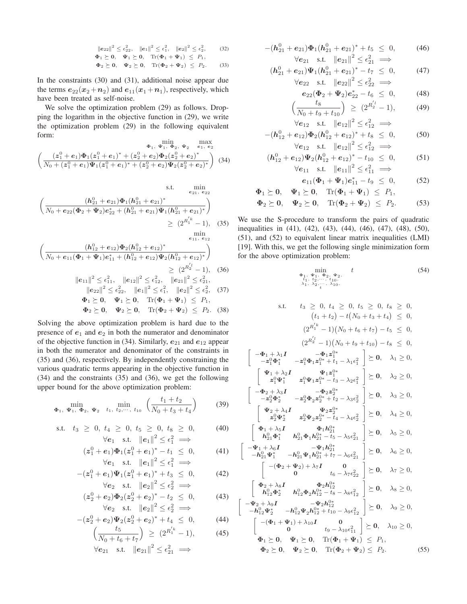$$
\|\mathbf{e}_{22}\|^2 \le \epsilon_{22}^2, \quad \|\mathbf{e}_1\|^2 \le \epsilon_1^2, \quad \|\mathbf{e}_2\|^2 \le \epsilon_2^2, \quad (32)
$$
  
\n
$$
\Phi_1 \succeq \mathbf{0}, \quad \Psi_1 \succeq \mathbf{0}, \quad \text{Tr}(\Phi_1 + \Psi_1) \le P_1,
$$
  
\n
$$
\Phi_2 \succeq \mathbf{0}, \quad \Psi_2 \succeq \mathbf{0}, \quad \text{Tr}(\Phi_2 + \Psi_2) \le P_2.
$$
 (33)

In the constraints (30) and (31), additional noise appear due the terms  $e_{22}(x_2 + n_2)$  and  $e_{11}(x_1 + n_1)$ , respectively, which have been treated as self-noise.

We solve the optimization problem (29) as follows. Dropping the logarithm in the objective function in (29), we write the optimization problem (29) in the following equivalent form:

$$
\Phi_1, \Psi_1, \Phi_2, \Psi_2 \stackrel{\text{def}}{=} e_1, e_2
$$
\n
$$
\left(\frac{(z_1^0 + e_1)\Phi_1(z_1^0 + e_1)^* + (z_2^0 + e_2)\Phi_2(z_2^0 + e_2)^*}{N_0 + (z_1^0 + e_1)\Psi_1(z_1^0 + e_1)^* + (z_2^0 + e_2)\Psi_2(z_2^0 + e_2)^*}\right)
$$
\n(34)

s.t. 
$$
\min_{e_{21}, e_{22}} \left( \frac{(h_{21}^0 + e_{21})\Phi_1(h_{21}^0 + e_{21})^*}{N_0 + e_{22}(\Phi_2 + \Psi_2)e_{22}^* + (h_{21}^0 + e_{21})\Psi_1(h_{21}^0 + e_{21})^*} \right) \geq (2^{R_1'^k} - 1), \quad (35)
$$
min

$$
\left(\frac{(h_{12}^0 + e_{12})\Phi_2(h_{12}^0 + e_{12})^*}{N_0 + e_{11}(\Phi_1 + \Psi_1)e_{11}^* + (h_{12}^0 + e_{12})\Psi_2(h_{12}^0 + e_{12})^*}\right) \geq (2^{R_2^{'}} - 1), \quad (36)
$$

$$
||e_{11}||^2 \le \epsilon_{11}^2, \quad ||e_{12}||^2 \le \epsilon_{12}^2, \quad ||e_{21}||^2 \le \epsilon_{21}^2,
$$
  

$$
||e_{22}||^2 \le \epsilon_{22}^2, \quad ||e_1||^2 \le \epsilon_1^2, \quad ||e_2||^2 \le \epsilon_2^2, \quad (37)
$$

$$
\begin{aligned}\n\Phi_1 &\succeq 0, \quad \Psi_1 \succeq 0, \quad \text{Tr}(\Phi_1 + \Psi_1) \le P_1, \\
\Phi_2 &\succeq 0, \quad \Psi_2 \succeq 0, \quad \text{Tr}(\Phi_2 + \Psi_2) \le P_2. \quad (38)\n\end{aligned}
$$

Solving the above optimization problem is hard due to the presence of  $e_1$  and  $e_2$  in both the numerator and denominator of the objective function in (34). Similarly,  $e_{21}$  and  $e_{12}$  appear in both the numerator and denominator of the constraints in (35) and (36), respectively. By independently constraining the various quadratic terms appearing in the objective function in (34) and the constraints (35) and (36), we get the following upper bound for the above optimization problem:

$$
\min_{\mathbf{\Phi}_1, \ \mathbf{\Psi}_1, \ \mathbf{\Phi}_2, \ \mathbf{\Psi}_2 \quad t_1, \ t_2, \cdots, \ t_{10}} \ \left( \frac{t_1 + t_2}{N_0 + t_3 + t_4} \right) \tag{39}
$$

s.t. 
$$
t_3 \ge 0
$$
,  $t_4 \ge 0$ ,  $t_5 \ge 0$ ,  $t_8 \ge 0$ , (40)  
\n $\forall e_1$  s.t.  $||e_1||^2 \le \epsilon_1^2 \implies$ 

$$
(z_1^0 + e_1)\Phi_1(z_1^0 + e_1)^* - t_1 \leq 0,
$$
  
\n
$$
\forall e_1 \quad \text{s.t.} \quad ||e_1||^2 \leq \epsilon_1^2 \implies
$$
 (41)

$$
-(z_1^0 + e_1)\Psi_1(z_1^0 + e_1)^* + t_3 \leq 0,
$$
  
\n
$$
\forall e_2 \quad \text{s.t.} \quad ||e_2||^2 \leq \epsilon_2^2 \implies
$$
 (42)

$$
(z20 + e2)\Phi2(z20 + e2)* - t2 \le 0,
$$
 (43)  
\n
$$
\forall e2 \text{ s.t. } ||e2||2 \le \epsilon22 \implies
$$

$$
-(z_2^0 + e_2)\Psi_2(z_2^0 + e_2)^* + t_4 \leq 0,
$$
\n
$$
\left(\frac{t_5}{\frac{N}{2} + t_4 + t_5}\right) \geq (2^{R_1'^k} - 1),
$$
\n(45)

$$
\left(\frac{c_3}{N_0 + t_6 + t_7}\right) \ge (2^{R_1^{\infty}} - 1),\tag{45}
$$
\n
$$
\forall e_{21} \quad \text{s.t.} \quad ||e_{21}||^2 \le \epsilon_{21}^2 \implies
$$

$$
-(h_{21}^0 + e_{21})\Phi_1(h_{21}^0 + e_{21})^* + t_5 \le 0,
$$
  
\n
$$
\forall e_{21} \text{ s.t. } ||e_{21}||^2 \le \epsilon_{21}^2 \implies
$$
 (46)

$$
(h_{21}^0 + e_{21})\Psi_1(h_{21}^0 + e_{21})^* - t_7 \leq 0,
$$
  
\n
$$
\forall e_{22} \text{ s.t. } ||e_{22}||^2 \leq \epsilon_{22}^2 \implies
$$
 (47)

$$
e_{22}(\Phi_2 + \Psi_2)e_{22}^* - t_6 \le 0,
$$
 (48)  

$$
\left(\frac{t_8}{\frac{N_1 + 1}{N_2 + 1}}\right) \ge (2^{R_2'^2} - 1),
$$
 (49)

$$
\left(\frac{1}{N_0 + t_9 + t_{10}}\right) \leq (2^2 - 1),
$$
\n
$$
\forall e_{12} \text{ s.t. } ||e_{12}||^2 \leq \epsilon_{12}^2 \implies
$$
\n
$$
\left|\frac{1}{N_0 + t_9 + t_{10}}\right| \leq \epsilon_{12}^2 \implies
$$

$$
-(h_{12}^0 + e_{12})\Phi_2(h_{12}^0 + e_{12})^* + t_8 \le 0,
$$
  
\n
$$
\forall e_{12} \text{ s.t. } ||e_{12}||^2 \le \epsilon_{12}^2 \implies
$$
 (50)

$$
(h_{12}^0 + e_{12})\Psi_2(h_{12}^0 + e_{12})^* - t_{10} \leq 0,
$$
  
\n
$$
\forall e_{11} \text{ s.t. } ||e_{11}||^2 \leq \epsilon_{11}^2 \implies
$$
 (51)

$$
e_{11}(\Phi_1 + \Psi_1)e_{11}^* - t_9 \leq 0, \qquad (52)
$$

$$
\begin{aligned}\n\Phi_1 \succeq 0, \quad \Psi_1 \succeq 0, \quad \text{Tr}(\Phi_1 + \Psi_1) \leq P_1, \\
\Phi_2 \succeq 0, \quad \Psi_2 \succeq 0, \quad \text{Tr}(\Phi_2 + \Psi_2) \leq P_2.\n\end{aligned}
$$
(53)

We use the S-procedure to transform the pairs of quadratic inequalities in (41), (42), (43), (44), (46), (47), (48), (50), (51), and (52) to equivalent linear matrix inequalities (LMI) [19]. With this, we get the following single minimization form for the above optimization problem:

$$
\min_{\substack{\Phi_1, \Phi_1, \Phi_2, \Phi_2, \Phi_2, \Phi_3, \lambda_1, \lambda_2, \dots, \lambda_{10},}} t
$$
\n
$$
(54)
$$

s.t. 
$$
t_3 \ge 0, t_4 \ge 0, t_5 \ge 0, t_8 \ge 0,
$$
  
\n $(t_1+t_2) - t(N_0+t_3+t_4) \le 0,$   
\n $(2^{R_1'k} - 1)(N_0 + t_6 + t_7) - t_5 \le 0,$   
\n $(2^{R_2'k} - 1)(N_0 + t_9 + t_{10}) - t_8 \le 0,$   
\n $(2^{R_2'k} - 1)(N_0 + t_9 + t_{10}) - t_8 \le 0,$   
\n $\left[-\frac{\Phi_1 + \lambda_1 I}{-z_1^0 \Phi_1^*} - \frac{\Phi_1 z_1^{0*}}{z_1^0 \Phi_1 z_1^{0*} + t_1 - \lambda_1 \epsilon_1^2}\right] \ge 0, \quad \lambda_1 \ge 0,$   
\n $\left[\begin{array}{cc}\n\frac{\Psi_1 + \lambda_2 I}{z_1^0 \Phi_1^*} & \frac{\Psi_1 z_1^{0*}}{z_1^0 \Phi_1 z_1^{0*} - t_3 - \lambda_2 \epsilon_1^2}\n\end{array}\right] \ge 0, \quad \lambda_2 \ge 0,$   
\n $\left[-\frac{\Phi_2 + \lambda_3 I}{-z_2^0 \Phi_2^*} - \frac{\Phi_2 z_2^{0*}}{z_2^0 \Phi_2 z_2^{0*} + t_2 - \lambda_3 \epsilon_2^2}\n\end{array}\right] \ge 0, \quad \lambda_3 \ge 0,$   
\n $\left[\begin{array}{cc}\n\frac{\Phi_1 + \lambda_5 I}{z_2^0 \Phi_2^*} & \frac{\Phi_1 z_2^{0*}}{z_2^0 \Phi_2 z_2^{0*} - t_4 - \lambda_4 \epsilon_2^2}\n\end{array}\right] \ge 0, \quad \lambda_4 \ge 0,$   
\n $\left[\begin{array}{cc}\n\frac{\Phi_1 + \lambda_5 I}{h_{21}^0 \Phi_1^*} & \frac{\Phi_1 h_{21}^{0*}}{h_{21}^0 \Phi_1 h_{21}^{0*} + t_5 - \lambda_5 \epsilon_{21}^2}\n\end{array}\right] \ge 0, \quad \lambda_6 \ge 0,$   
\n $\left[-\frac{\Phi$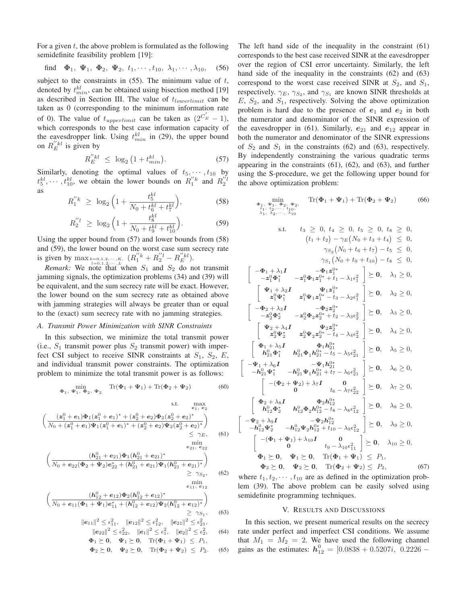For a given  $t$ , the above problem is formulated as the following semidefinite feasibility problem [19]:

find 
$$
\mathbf{\Phi}_1
$$
,  $\mathbf{\Psi}_1$ ,  $\mathbf{\Phi}_2$ ,  $\mathbf{\Psi}_2$ ,  $t_1, \cdots, t_{10}$ ,  $\lambda_1, \cdots, \lambda_{10}$ , (56)

subject to the constraints in  $(55)$ . The minimum value of t, denoted by  $t_{min}^{kl}$ , can be obtained using bisection method [19] as described in Section III. The value of  $t_{lowerlimit}$  can be taken as 0 (corresponding to the minimum information rate of 0). The value of  $t_{upperlimit}$  can be taken as  $(2^{C_E'} - 1)$ , which corresponds to the best case information capacity of the eavesdropper link. Using  $t_{min}^{kl}$  in (29), the upper bound on  $R_E^{"kl}$  is given by

$$
R_E^{"kl} \leq \log_2\left(1 + t_{min}^{kl}\right). \tag{57}
$$

Similarly, denoting the optimal values of  $t_5, \dots, t_{10}$  by  $t_5^{kl}, \dots, t_{10}^{kl}$ , we obtain the lower bounds on  $R_1^{''k}$  and  $R_2^{''l}$ as

$$
R_1^{"k} \ge \log_2\left(1 + \frac{t_5^{kl}}{N_0 + t_6^{kl} + t_7^{kl}}\right),\tag{58}
$$

$$
R_2^{"l} \ge \log_2\left(1 + \frac{t_8^{kl}}{N_0 + t_9^{kl} + t_{10}^{kl}}\right). \tag{59}
$$

Using the upper bound from (57) and lower bounds from (58) and (59), the lower bound on the worst case sum secrecy rate is given by  $\max_{k=0,1,2,\cdots,K}$ ,  $(R_1''^k + R_2''^l - R_E''^l).$ 

*Remark:* We note that when  $S_1$  and  $S_2$  do not transmit jamming signals, the optimization problems (34) and (39) will be equivalent, and the sum secrecy rate will be exact. However, the lower bound on the sum secrecy rate as obtained above with jamming strategies will always be greater than or equal to the (exact) sum secrecy rate with no jamming strategies.

# *A. Transmit Power Minimization with SINR Constraints*

In this subsection, we minimize the total transmit power (i.e.,  $S_1$  transmit power plus  $S_2$  transmit power) with imperfect CSI subject to receive SINR constraints at  $S_1$ ,  $S_2$ ,  $E$ , and individual transmit power constraints. The optimization problem to minimize the total transmit power is as follows:

$$
\min_{\Phi_1, \Psi_1, \Phi_2, \Psi_2} \quad \text{Tr}(\Phi_1 + \Psi_1) + \text{Tr}(\Phi_2 + \Psi_2) \tag{60}
$$

s.t. 
$$
\max_{e_1, e_2} \left( \frac{(z_1^0 + e_1)\Phi_1(z_1^0 + e_1)^* + (z_2^0 + e_2)\Phi_2(z_2^0 + e_2)^*}{N_0 + (z_1^0 + e_1)\Psi_1(z_1^0 + e_1)^* + (z_2^0 + e_2)\Psi_2(z_2^0 + e_2)^*} \right) \leq \gamma_E,
$$
 (61)

$$
\left(\frac{(h_{21}^0 + e_{21})\Phi_1(h_{21}^0 + e_{21})^*}{N_0 + e_{22}(\Phi_2 + \Psi_2)e_{22}^* + (h_{21}^0 + e_{21})\Psi_1(h_{21}^0 + e_{21})^*}\right) \geq \gamma_{S_2}, \quad (62)
$$

min *<sup>e</sup>*11*, <sup>e</sup>*<sup>12</sup>  $(h_{12}^0 + e_{12})\Phi_2(h_{12}^0 + e_{12})^*$  $N_0 + e_{11}(\Phi_1 + \Psi_1)e_{11}^* + (h_{12}^0 + e_{12})\Psi_2(h_{12}^0 + e_{12})^*$  $\setminus$  $(63)$ 

$$
\begin{aligned}\n\|\mathbf{e}_{11}\|^2 &\leq \epsilon_{11}^2, & \|\mathbf{e}_{12}\|^2 \leq \epsilon_{12}^2, & \|\mathbf{e}_{21}\|^2 \leq \epsilon_{21}^2, \\
\|\mathbf{e}_{22}\|^2 &\leq \epsilon_{22}^2, & \|\mathbf{e}_1\|^2 \leq \epsilon_1^2, & \|\mathbf{e}_2\|^2 \leq \epsilon_2^2, \\
\Phi_1 \succeq \mathbf{0}, & \Psi_1 \succeq \mathbf{0}, & \text{Tr}(\Phi_1 + \Psi_1) \leq P_1, \\
\Phi_2 \succeq \mathbf{0}, & \Psi_2 \succeq \mathbf{0}, & \text{Tr}(\Phi_2 + \Psi_2) \leq P_2.\n\end{aligned}
$$
\n(64)

The left hand side of the inequality in the constraint (61) corresponds to the best case received SINR at the eavesdropper over the region of CSI error uncertainty. Similarly, the left hand side of the inequality in the constraints (62) and (63) correspond to the worst case received SINR at  $S_2$ , and  $S_1$ , respectively.  $\gamma_E$ ,  $\gamma_{S_2}$ , and  $\gamma_{S_1}$  are known SINR thresholds at  $E, S_2$ , and  $S_1$ , respectively. Solving the above optimization problem is hard due to the presence of  $e_1$  and  $e_2$  in both the numerator and denominator of the SINR expression of the eavesdropper in  $(61)$ . Similarly,  $e_{21}$  and  $e_{12}$  appear in both the numerator and denominator of the SINR expressions of  $S_2$  and  $S_1$  in the constraints (62) and (63), respectively. By independently constraining the various quadratic terms appearing in the constraints (61), (62), and (63), and further using the S-procedure, we get the following upper bound for the above optimization problem:

$$
\min_{\substack{\Phi_1, \ \Phi_1, \ \Phi_2, \ \Phi_2, \ \Lambda_1, \ \Lambda_2, \cdots, \ \Lambda_{10}}} \text{Tr}(\Phi_1 + \Psi_1) + \text{Tr}(\Phi_2 + \Psi_2) \qquad (66)
$$
\n
$$
\lim_{\lambda_1, \ \lambda_2, \cdots, \ \lambda_{10}} \text{S.1.} \qquad t_3 \geq 0, \ t_4 \geq 0, \ t_5 \geq 0, \ t_6 \geq 0, \ (t_1 + t_2) - \gamma_E(N_0 + t_3 + t_4) \leq 0, \ \gamma_{S_2}(N_0 + t_6 + t_7) - t_5 \leq 0, \ \gamma_{S_1}(N_0 + t_9 + t_{10}) - t_8 \leq 0, \ \gamma_{S_1}(N_0 + t_9 + t_{10}) - t_8 \leq 0, \ \gamma_{S_1}(N_0 + t_9 + t_{10}) - t_8 \leq 0, \ \gamma_{S_1}(N_0 + t_9 + t_{10}) - t_8 \leq 0, \ \gamma_{S_1}(N_0 + t_9 + t_{10}) - t_8 \leq 0, \ \gamma_{S_2}(N_0 + t_9 + t_{10}) - t_8 \leq 0, \ \gamma_{S_1}(N_0 + t_9 + t_{10}) - t_8 \leq 0, \ \gamma_{S_2}(N_0 + t_9 + t_{10}) - t_8 \leq 0, \ \gamma_{S_2}(N_0 + t_9 + t_{10}) - t_8 \leq 0, \ \gamma_{S_2}(N_0 + t_9 + t_{10}) - t_8 \leq 0, \ \gamma_{S_2}(N_0 + t_9 + t_{10}) - t_8 \leq 0, \ \gamma_{S_2}(N_0 + t_9 + t_{11}) - t_9 \leq 0, \ \gamma_{S_2}(N_0 + t_9 + t_{10}) - t_9 \leq 0, \ \gamma_{S_2}(N_0 + t_9 + t_{11}) - t_9 \leq 0, \ \gamma_{S_2}(N_0 + t_9 + t_{11}) - t_9 \leq 0, \ \gamma_{S_2}(N_0 + t_9 + t_{11}) - t_9 \leq 0, \ \gamma_{S_2}(N_0 + t_9 + t_{10}) - t_9 \leq
$$

f

ſ

where  $t_1, t_2, \dots, t_{10}$  are as defined in the optimization problem (39). The above problem can be easily solved using semidefinite programming techniques.

#### V. RESULTS AND DISCUSSIONS

In this section, we present numerical results on the secrecy rate under perfect and imperfect CSI conditions. We assume that  $M_1 = M_2 = 2$ . We have used the following channel gains as the estimates:  $h_{12}^0 = [0.0838 + 0.5207i, 0.2226 -$